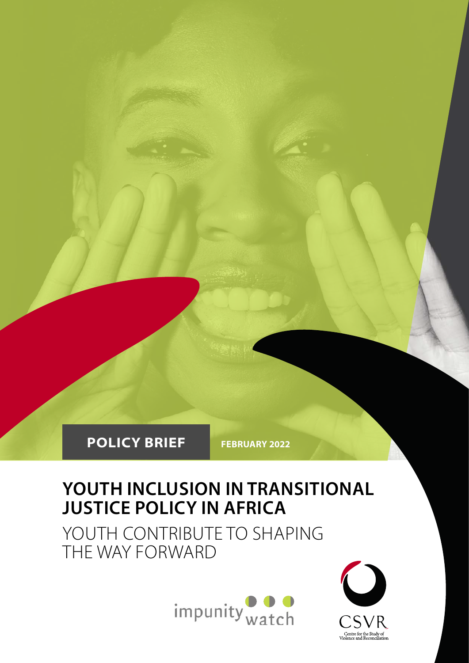

# **YOUTH INCLUSION IN TRANSITIONAL JUSTICE POLICY IN AFRICA**

YOUTH CONTRIBUTE TO SHAPING THE WAY FORWARD



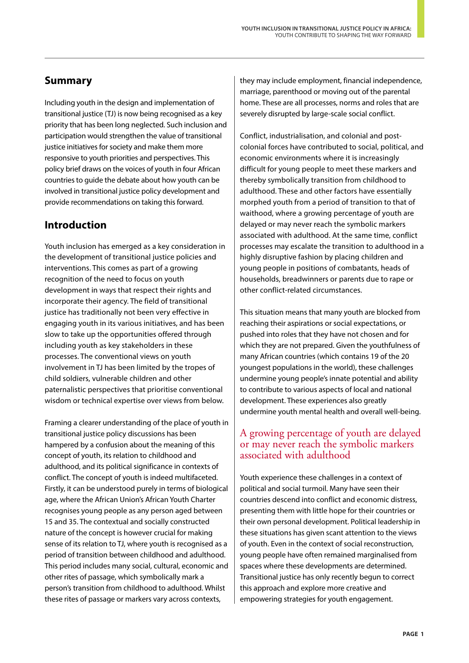# **Summary**

Including youth in the design and implementation of transitional justice (TJ) is now being recognised as a key priority that has been long neglected. Such inclusion and participation would strengthen the value of transitional justice initiatives for society and make them more responsive to youth priorities and perspectives. This policy brief draws on the voices of youth in four African countries to guide the debate about how youth can be involved in transitional justice policy development and provide recommendations on taking this forward.

# **Introduction**

Youth inclusion has emerged as a key consideration in the development of transitional justice policies and interventions. This comes as part of a growing recognition of the need to focus on youth development in ways that respect their rights and incorporate their agency. The field of transitional justice has traditionally not been very effective in engaging youth in its various initiatives, and has been slow to take up the opportunities offered through including youth as key stakeholders in these processes. The conventional views on youth involvement in TJ has been limited by the tropes of child soldiers, vulnerable children and other paternalistic perspectives that prioritise conventional wisdom or technical expertise over views from below.

Framing a clearer understanding of the place of youth in transitional justice policy discussions has been hampered by a confusion about the meaning of this concept of youth, its relation to childhood and adulthood, and its political significance in contexts of conflict. The concept of youth is indeed multifaceted. Firstly, it can be understood purely in terms of biological age, where the African Union's African Youth Charter recognises young people as any person aged between 15 and 35. The contextual and socially constructed nature of the concept is however crucial for making sense of its relation to TJ, where youth is recognised as a period of transition between childhood and adulthood. This period includes many social, cultural, economic and other rites of passage, which symbolically mark a person's transition from childhood to adulthood. Whilst these rites of passage or markers vary across contexts,

they may include employment, financial independence, marriage, parenthood or moving out of the parental home. These are all processes, norms and roles that are severely disrupted by large-scale social conflict.

Conflict, industrialisation, and colonial and postcolonial forces have contributed to social, political, and economic environments where it is increasingly difficult for young people to meet these markers and thereby symbolically transition from childhood to adulthood. These and other factors have essentially morphed youth from a period of transition to that of waithood, where a growing percentage of youth are delayed or may never reach the symbolic markers associated with adulthood. At the same time, conflict processes may escalate the transition to adulthood in a highly disruptive fashion by placing children and young people in positions of combatants, heads of households, breadwinners or parents due to rape or other conflict-related circumstances.

This situation means that many youth are blocked from reaching their aspirations or social expectations, or pushed into roles that they have not chosen and for which they are not prepared. Given the youthfulness of many African countries (which contains 19 of the 20 youngest populations in the world), these challenges undermine young people's innate potential and ability to contribute to various aspects of local and national development. These experiences also greatly undermine youth mental health and overall well-being.

### A growing percentage of youth are delayed or may never reach the symbolic markers associated with adulthood

Youth experience these challenges in a context of political and social turmoil. Many have seen their countries descend into conflict and economic distress, presenting them with little hope for their countries or their own personal development. Political leadership in these situations has given scant attention to the views of youth. Even in the context of social reconstruction, young people have often remained marginalised from spaces where these developments are determined. Transitional justice has only recently begun to correct this approach and explore more creative and empowering strategies for youth engagement.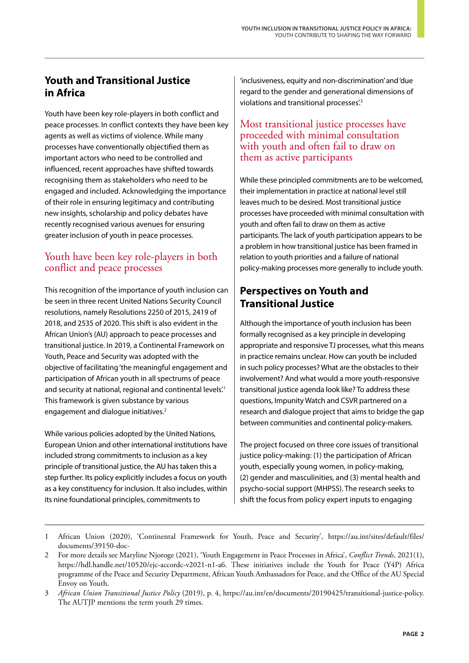# **Youth and Transitional Justice in Africa**

Youth have been key role-players in both conflict and peace processes. In conflict contexts they have been key agents as well as victims of violence. While many processes have conventionally objectified them as important actors who need to be controlled and influenced, recent approaches have shifted towards recognising them as stakeholders who need to be engaged and included. Acknowledging the importance of their role in ensuring legitimacy and contributing new insights, scholarship and policy debates have recently recognised various avenues for ensuring greater inclusion of youth in peace processes.

### Youth have been key role-players in both conflict and peace processes

This recognition of the importance of youth inclusion can be seen in three recent United Nations Security Council resolutions, namely Resolutions 2250 of 2015, 2419 of 2018, and 2535 of 2020. This shift is also evident in the African Union's (AU) approach to peace processes and transitional justice. In 2019, a Continental Framework on Youth, Peace and Security was adopted with the objective of facilitating 'the meaningful engagement and participation of African youth in all spectrums of peace and security at national, regional and continental levels.<sup>1</sup> This framework is given substance by various engagement and dialogue initiatives.<sup>2</sup>

While various policies adopted by the United Nations, European Union and other international institutions have included strong commitments to inclusion as a key principle of transitional justice, the AU has taken this a step further. Its policy explicitly includes a focus on youth as a key constituency for inclusion. It also includes, within its nine foundational principles, commitments to

'inclusiveness, equity and non-discrimination' and 'due regard to the gender and generational dimensions of violations and transitional processes.<sup>3</sup>

### Most transitional justice processes have proceeded with minimal consultation with youth and often fail to draw on them as active participants

While these principled commitments are to be welcomed, their implementation in practice at national level still leaves much to be desired. Most transitional justice processes have proceeded with minimal consultation with youth and often fail to draw on them as active participants. The lack of youth participation appears to be a problem in how transitional justice has been framed in relation to youth priorities and a failure of national policy-making processes more generally to include youth.

# **Perspectives on Youth and Transitional Justice**

Although the importance of youth inclusion has been formally recognised as a key principle in developing appropriate and responsive TJ processes, what this means in practice remains unclear. How can youth be included in such policy processes? What are the obstacles to their involvement? And what would a more youth-responsive transitional justice agenda look like? To address these questions, Impunity Watch and CSVR partnered on a research and dialogue project that aims to bridge the gap between communities and continental policy-makers.

The project focused on three core issues of transitional justice policy-making: (1) the participation of African youth, especially young women, in policy-making, (2) gender and masculinities, and (3) mental health and psycho-social support (MHPSS). The research seeks to shift the focus from policy expert inputs to engaging

<sup>1</sup> African Union (2020), 'Continental Framework for Youth, Peace and Security', https://au.int/sites/default/files/ documents/39150-doc-

<sup>2</sup> For more details see Maryline Njoroge (2021), 'Youth Engagement in Peace Processes in Africa', *Conflict Trends*, 2021(1), https://hdl.handle.net/10520/ejc-accordc-v2021-n1-a6. These initiatives include the Youth for Peace (Y4P) Africa programme of the Peace and Security Department, African Youth Ambassadors for Peace, and the Office of the AU Special Envoy on Youth.

<sup>3</sup> *African Union Transitional Justice Policy* (2019), p. 4, <https://au.int/en/documents/20190425/transitional-justice-policy>. The AUTJP mentions the term youth 29 times.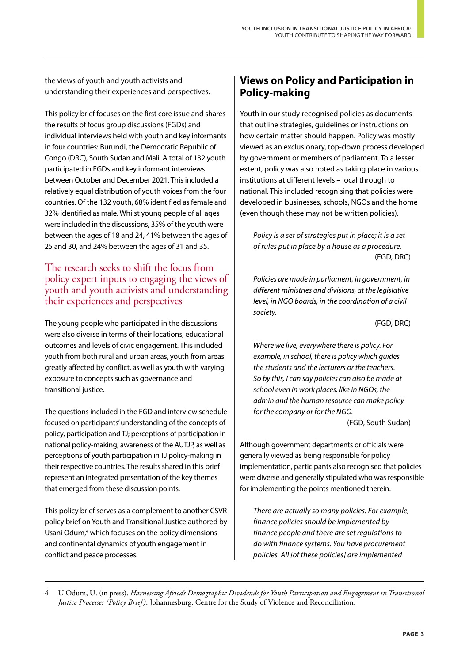the views of youth and youth activists and understanding their experiences and perspectives.

This policy brief focuses on the first core issue and shares the results of focus group discussions (FGDs) and individual interviews held with youth and key informants in four countries: Burundi, the Democratic Republic of Congo (DRC), South Sudan and Mali. A total of 132 youth participated in FGDs and key informant interviews between October and December 2021. This included a relatively equal distribution of youth voices from the four countries. Of the 132 youth, 68% identified as female and 32% identified as male. Whilst young people of all ages were included in the discussions, 35% of the youth were between the ages of 18 and 24, 41% between the ages of 25 and 30, and 24% between the ages of 31 and 35.

#### The research seeks to shift the focus from policy expert inputs to engaging the views of youth and youth activists and understanding their experiences and perspectives

The young people who participated in the discussions were also diverse in terms of their locations, educational outcomes and levels of civic engagement. This included youth from both rural and urban areas, youth from areas greatly affected by conflict, as well as youth with varying exposure to concepts such as governance and transitional justice.

The questions included in the FGD and interview schedule focused on participants' understanding of the concepts of policy, participation and TJ; perceptions of participation in national policy-making; awareness of the AUTJP, as well as perceptions of youth participation in TJ policy-making in their respective countries. The results shared in this brief represent an integrated presentation of the key themes that emerged from these discussion points.

This policy brief serves as a complement to another CSVR policy brief on Youth and Transitional Justice authored by Usani Odum,<sup>4</sup> which focuses on the policy dimensions and continental dynamics of youth engagement in conflict and peace processes.

# **Views on Policy and Participation in Policy-making**

Youth in our study recognised policies as documents that outline strategies, guidelines or instructions on how certain matter should happen. Policy was mostly viewed as an exclusionary, top-down process developed by government or members of parliament. To a lesser extent, policy was also noted as taking place in various institutions at different levels – local through to national. This included recognising that policies were developed in businesses, schools, NGOs and the home (even though these may not be written policies).

*Policy is a set of strategies put in place; it is a set of rules put in place by a house as a procedure.* (FGD, DRC)

*Policies are made in parliament, in government, in different ministries and divisions, at the legislative level, in NGO boards, in the coordination of a civil society.*

(FGD, DRC)

*Where we live, everywhere there is policy. For example, in school, there is policy which guides the students and the lecturers or the teachers. So by this, I can say policies can also be made at school even in work places, like in NGOs, the admin and the human resource can make policy for the company or for the NGO.* (FGD, South Sudan)

Although government departments or officials were generally viewed as being responsible for policy implementation, participants also recognised that policies were diverse and generally stipulated who was responsible for implementing the points mentioned therein.

*There are actually so many policies. For example, finance policies should be implemented by finance people and there are set regulations to do with finance systems. You have procurement policies. All [of these policies] are implemented* 

<sup>4</sup> U Odum, U. (in press). *Harnessing Africa's Demographic Dividends for Youth Participation and Engagement in Transitional Justice Processes (Policy Brief)*. Johannesburg: Centre for the Study of Violence and Reconciliation.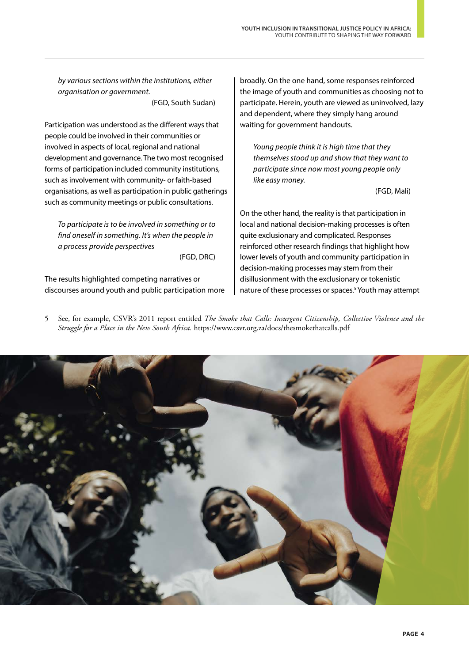*by various sections within the institutions, either organisation or government.*

(FGD, South Sudan)

Participation was understood as the different ways that people could be involved in their communities or involved in aspects of local, regional and national development and governance. The two most recognised forms of participation included community institutions, such as involvement with community- or faith-based organisations, as well as participation in public gatherings such as community meetings or public consultations.

*To participate is to be involved in something or to find oneself in something. It's when the people in a process provide perspectives*

(FGD, DRC)

The results highlighted competing narratives or discourses around youth and public participation more

broadly. On the one hand, some responses reinforced the image of youth and communities as choosing not to participate. Herein, youth are viewed as uninvolved, lazy and dependent, where they simply hang around waiting for government handouts.

*Young people think it is high time that they themselves stood up and show that they want to participate since now most young people only like easy money.*

(FGD, Mali)

On the other hand, the reality is that participation in local and national decision-making processes is often quite exclusionary and complicated. Responses reinforced other research findings that highlight how lower levels of youth and community participation in decision-making processes may stem from their disillusionment with the exclusionary or tokenistic nature of these processes or spaces.<sup>5</sup> Youth may attempt

5 See, for example, CSVR's 2011 report entitled *The Smoke that Calls: Insurgent Citizenship, Collective Violence and the Struggle for a Place in the New South Africa.* <https://www.csvr.org.za/docs/thesmokethatcalls.pdf>

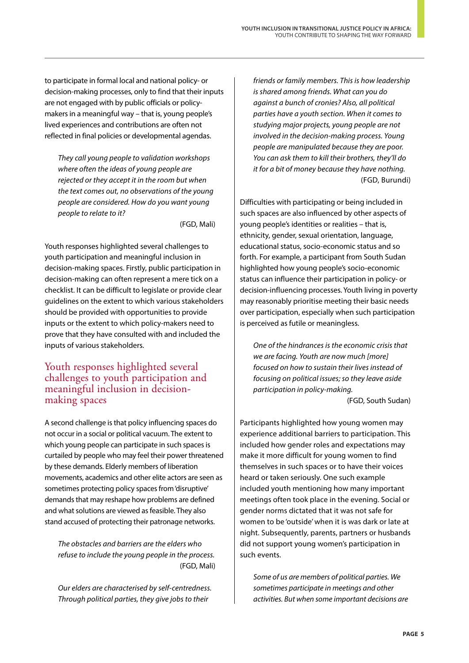to participate in formal local and national policy- or decision-making processes, only to find that their inputs are not engaged with by public officials or policymakers in a meaningful way – that is, young people's lived experiences and contributions are often not reflected in final policies or developmental agendas.

*They call young people to validation workshops where often the ideas of young people are rejected or they accept it in the room but when the text comes out, no observations of the young people are considered. How do you want young people to relate to it?*

(FGD, Mali)

Youth responses highlighted several challenges to youth participation and meaningful inclusion in decision-making spaces. Firstly, public participation in decision-making can often represent a mere tick on a checklist. It can be difficult to legislate or provide clear guidelines on the extent to which various stakeholders should be provided with opportunities to provide inputs or the extent to which policy-makers need to prove that they have consulted with and included the inputs of various stakeholders.

### Youth responses highlighted several challenges to youth participation and meaningful inclusion in decisionmaking spaces

A second challenge is that policy influencing spaces do not occur in a social or political vacuum. The extent to which young people can participate in such spaces is curtailed by people who may feel their power threatened by these demands. Elderly members of liberation movements, academics and other elite actors are seen as sometimes protecting policy spaces from 'disruptive' demands that may reshape how problems are defined and what solutions are viewed as feasible. They also stand accused of protecting their patronage networks.

*The obstacles and barriers are the elders who refuse to include the young people in the process.* (FGD, Mali)

*Our elders are characterised by self-centredness. Through political parties, they give jobs to their* 

*friends or family members. This is how leadership is shared among friends. What can you do against a bunch of cronies? Also, all political parties have a youth section. When it comes to studying major projects, young people are not involved in the decision-making process. Young people are manipulated because they are poor. You can ask them to kill their brothers, they'll do it for a bit of money because they have nothing.* (FGD, Burundi)

Difficulties with participating or being included in such spaces are also influenced by other aspects of young people's identities or realities – that is, ethnicity, gender, sexual orientation, language, educational status, socio-economic status and so forth. For example, a participant from South Sudan highlighted how young people's socio-economic status can influence their participation in policy- or decision-influencing processes. Youth living in poverty may reasonably prioritise meeting their basic needs over participation, especially when such participation is perceived as futile or meaningless.

*One of the hindrances is the economic crisis that we are facing. Youth are now much [more] focused on how to sustain their lives instead of focusing on political issues; so they leave aside participation in policy-making.*

(FGD, South Sudan)

Participants highlighted how young women may experience additional barriers to participation. This included how gender roles and expectations may make it more difficult for young women to find themselves in such spaces or to have their voices heard or taken seriously. One such example included youth mentioning how many important meetings often took place in the evening. Social or gender norms dictated that it was not safe for women to be 'outside' when it is was dark or late at night. Subsequently, parents, partners or husbands did not support young women's participation in such events.

*Some of us are members of political parties. We sometimes participate in meetings and other activities. But when some important decisions are*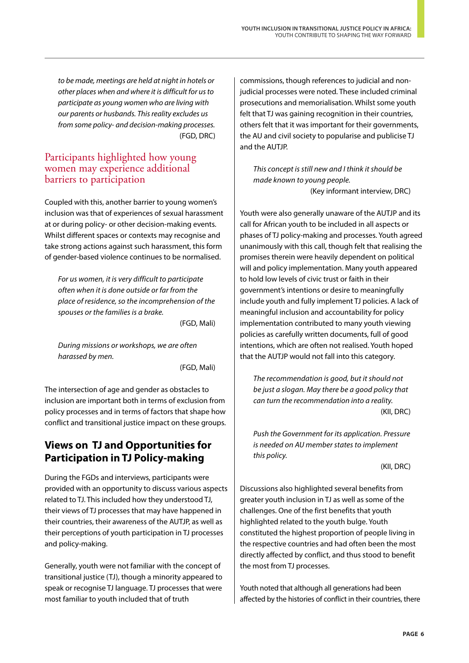*to be made, meetings are held at night in hotels or other places when and where it is difficult for us to participate as young women who are living with our parents or husbands. This reality excludes us from some policy- and decision-making processes.* (FGD, DRC)

### Participants highlighted how young women may experience additional barriers to participation

Coupled with this, another barrier to young women's inclusion was that of experiences of sexual harassment at or during policy- or other decision-making events. Whilst different spaces or contexts may recognise and take strong actions against such harassment, this form of gender-based violence continues to be normalised.

*For us women, it is very difficult to participate often when it is done outside or far from the place of residence, so the incomprehension of the spouses or the families is a brake.*

(FGD, Mali)

*During missions or workshops, we are often harassed by men.*

(FGD, Mali)

The intersection of age and gender as obstacles to inclusion are important both in terms of exclusion from policy processes and in terms of factors that shape how conflict and transitional justice impact on these groups.

# **Views on TJ and Opportunities for Participation in TJ Policy-making**

During the FGDs and interviews, participants were provided with an opportunity to discuss various aspects related to TJ. This included how they understood TJ, their views of TJ processes that may have happened in their countries, their awareness of the AUTJP, as well as their perceptions of youth participation in TJ processes and policy-making.

Generally, youth were not familiar with the concept of transitional justice (TJ), though a minority appeared to speak or recognise TJ language. TJ processes that were most familiar to youth included that of truth

commissions, though references to judicial and nonjudicial processes were noted. These included criminal prosecutions and memorialisation. Whilst some youth felt that TJ was gaining recognition in their countries, others felt that it was important for their governments, the AU and civil society to popularise and publicise TJ and the AUTJP.

*This concept is still new and I think it should be made known to young people.* (Key informant interview, DRC)

Youth were also generally unaware of the AUTJP and its call for African youth to be included in all aspects or phases of TJ policy-making and processes. Youth agreed unanimously with this call, though felt that realising the promises therein were heavily dependent on political will and policy implementation. Many youth appeared to hold low levels of civic trust or faith in their government's intentions or desire to meaningfully include youth and fully implement TJ policies. A lack of meaningful inclusion and accountability for policy implementation contributed to many youth viewing policies as carefully written documents, full of good intentions, which are often not realised. Youth hoped that the AUTJP would not fall into this category.

*The recommendation is good, but it should not be just a slogan. May there be a good policy that can turn the recommendation into a reality.* (KII, DRC)

*Push the Government for its application. Pressure is needed on AU member states to implement this policy.*

(KII, DRC)

Discussions also highlighted several benefits from greater youth inclusion in TJ as well as some of the challenges. One of the first benefits that youth highlighted related to the youth bulge. Youth constituted the highest proportion of people living in the respective countries and had often been the most directly affected by conflict, and thus stood to benefit the most from TJ processes.

Youth noted that although all generations had been affected by the histories of conflict in their countries, there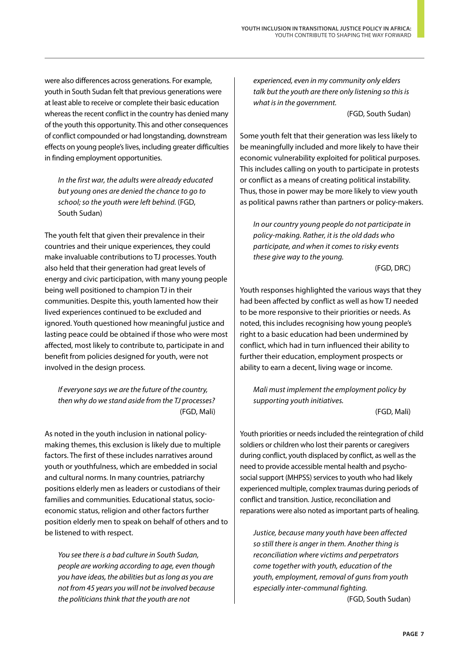were also differences across generations. For example, youth in South Sudan felt that previous generations were at least able to receive or complete their basic education whereas the recent conflict in the country has denied many of the youth this opportunity. This and other consequences of conflict compounded or had longstanding, downstream effects on young people's lives, including greater difficulties in finding employment opportunities.

*In the first war, the adults were already educated but young ones are denied the chance to go to school; so the youth were left behind.* (FGD, South Sudan)

The youth felt that given their prevalence in their countries and their unique experiences, they could make invaluable contributions to TJ processes. Youth also held that their generation had great levels of energy and civic participation, with many young people being well positioned to champion TJ in their communities. Despite this, youth lamented how their lived experiences continued to be excluded and ignored. Youth questioned how meaningful justice and lasting peace could be obtained if those who were most affected, most likely to contribute to, participate in and benefit from policies designed for youth, were not involved in the design process.

*If everyone says we are the future of the country, then why do we stand aside from the TJ processes?* (FGD, Mali)

As noted in the youth inclusion in national policymaking themes, this exclusion is likely due to multiple factors. The first of these includes narratives around youth or youthfulness, which are embedded in social and cultural norms. In many countries, patriarchy positions elderly men as leaders or custodians of their families and communities. Educational status, socioeconomic status, religion and other factors further position elderly men to speak on behalf of others and to be listened to with respect.

*You see there is a bad culture in South Sudan, people are working according to age, even though you have ideas, the abilities but as long as you are not from 45 years you will not be involved because the politicians think that the youth are not* 

*experienced, even in my community only elders talk but the youth are there only listening so this is what is in the government.*

(FGD, South Sudan)

Some youth felt that their generation was less likely to be meaningfully included and more likely to have their economic vulnerability exploited for political purposes. This includes calling on youth to participate in protests or conflict as a means of creating political instability. Thus, those in power may be more likely to view youth as political pawns rather than partners or policy-makers.

*In our country young people do not participate in policy-making. Rather, it is the old dads who participate, and when it comes to risky events these give way to the young.*

(FGD, DRC)

Youth responses highlighted the various ways that they had been affected by conflict as well as how TJ needed to be more responsive to their priorities or needs. As noted, this includes recognising how young people's right to a basic education had been undermined by conflict, which had in turn influenced their ability to further their education, employment prospects or ability to earn a decent, living wage or income.

*Mali must implement the employment policy by supporting youth initiatives.*

(FGD, Mali)

Youth priorities or needs included the reintegration of child soldiers or children who lost their parents or caregivers during conflict, youth displaced by conflict, as well as the need to provide accessible mental health and psychosocial support (MHPSS) services to youth who had likely experienced multiple, complex traumas during periods of conflict and transition. Justice, reconciliation and reparations were also noted as important parts of healing.

*Justice, because many youth have been affected so still there is anger in them. Another thing is reconciliation where victims and perpetrators come together with youth, education of the youth, employment, removal of guns from youth especially inter-communal fighting.* (FGD, South Sudan)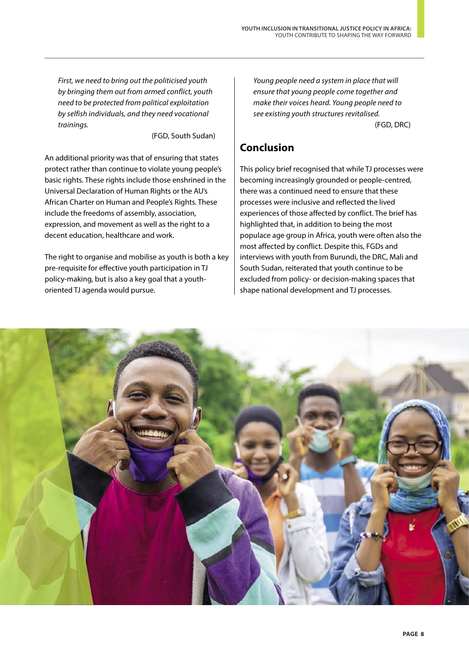*First, we need to bring out the politicised youth by bringing them out from armed conflict, youth need to be protected from political exploitation by selfish individuals, and they need vocational trainings.*

(FGD, South Sudan)

An additional priority was that of ensuring that states protect rather than continue to violate young people's basic rights. These rights include those enshrined in the Universal Declaration of Human Rights or the AU's African Charter on Human and People's Rights. These include the freedoms of assembly, association, expression, and movement as well as the right to a decent education, healthcare and work.

The right to organise and mobilise as youth is both a key pre-requisite for effective youth participation in TJ policy-making, but is also a key goal that a youthoriented TJ agenda would pursue.

*Young people need a system in place that will ensure that young people come together and make their voices heard. Young people need to see existing youth structures revitalised.* (FGD, DRC)

# **Conclusion**

This policy brief recognised that while TJ processes were becoming increasingly grounded or people-centred, there was a continued need to ensure that these processes were inclusive and reflected the lived experiences of those affected by conflict. The brief has highlighted that, in addition to being the most populace age group in Africa, youth were often also the most affected by conflict. Despite this, FGDs and interviews with youth from Burundi, the DRC, Mali and South Sudan, reiterated that youth continue to be excluded from policy- or decision-making spaces that shape national development and TJ processes.

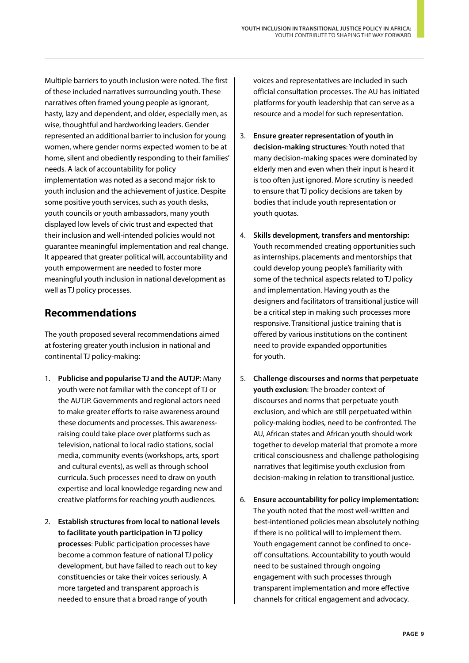Multiple barriers to youth inclusion were noted. The first of these included narratives surrounding youth. These narratives often framed young people as ignorant, hasty, lazy and dependent, and older, especially men, as wise, thoughtful and hardworking leaders. Gender represented an additional barrier to inclusion for young women, where gender norms expected women to be at home, silent and obediently responding to their families' needs. A lack of accountability for policy implementation was noted as a second major risk to youth inclusion and the achievement of justice. Despite some positive youth services, such as youth desks, youth councils or youth ambassadors, many youth displayed low levels of civic trust and expected that their inclusion and well-intended policies would not guarantee meaningful implementation and real change. It appeared that greater political will, accountability and youth empowerment are needed to foster more meaningful youth inclusion in national development as well as TJ policy processes.

# **Recommendations**

The youth proposed several recommendations aimed at fostering greater youth inclusion in national and continental TJ policy-making:

- 1. **Publicise and popularise TJ and the AUTJP**: Many youth were not familiar with the concept of TJ or the AUTJP. Governments and regional actors need to make greater efforts to raise awareness around these documents and processes. This awarenessraising could take place over platforms such as television, national to local radio stations, social media, community events (workshops, arts, sport and cultural events), as well as through school curricula. Such processes need to draw on youth expertise and local knowledge regarding new and creative platforms for reaching youth audiences.
- 2. **Establish structures from local to national levels to facilitate youth participation in TJ policy processes**: Public participation processes have become a common feature of national TJ policy development, but have failed to reach out to key constituencies or take their voices seriously. A more targeted and transparent approach is needed to ensure that a broad range of youth

voices and representatives are included in such official consultation processes. The AU has initiated platforms for youth leadership that can serve as a resource and a model for such representation.

- 3. **Ensure greater representation of youth in decision-making structures**: Youth noted that many decision-making spaces were dominated by elderly men and even when their input is heard it is too often just ignored. More scrutiny is needed to ensure that TJ policy decisions are taken by bodies that include youth representation or youth quotas.
- 4. **Skills development, transfers and mentorship:** Youth recommended creating opportunities such as internships, placements and mentorships that could develop young people's familiarity with some of the technical aspects related to TJ policy and implementation. Having youth as the designers and facilitators of transitional justice will be a critical step in making such processes more responsive. Transitional justice training that is offered by various institutions on the continent need to provide expanded opportunities for youth.
- 5. **Challenge discourses and norms that perpetuate youth exclusion**: The broader context of discourses and norms that perpetuate youth exclusion, and which are still perpetuated within policy-making bodies, need to be confronted. The AU, African states and African youth should work together to develop material that promote a more critical consciousness and challenge pathologising narratives that legitimise youth exclusion from decision-making in relation to transitional justice.
- 6. **Ensure accountability for policy implementation:** The youth noted that the most well-written and best-intentioned policies mean absolutely nothing if there is no political will to implement them. Youth engagement cannot be confined to onceoff consultations. Accountability to youth would need to be sustained through ongoing engagement with such processes through transparent implementation and more effective channels for critical engagement and advocacy.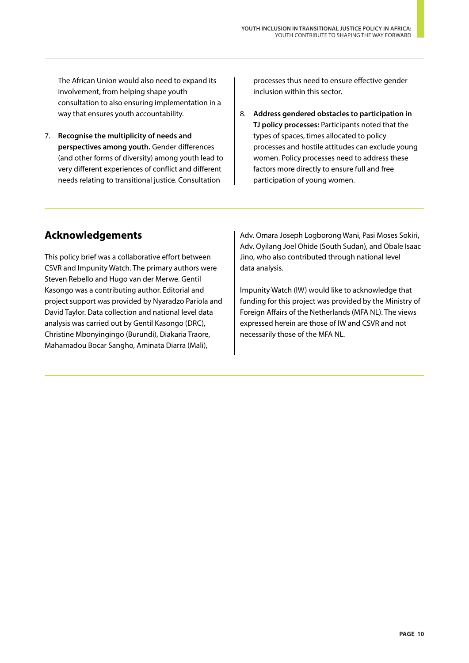The African Union would also need to expand its involvement, from helping shape youth consultation to also ensuring implementation in a way that ensures youth accountability.

7. **Recognise the multiplicity of needs and perspectives among youth.** Gender differences (and other forms of diversity) among youth lead to very different experiences of conflict and different needs relating to transitional justice. Consultation

processes thus need to ensure effective gender inclusion within this sector.

8. **Address gendered obstacles to participation in TJ policy processes:** Participants noted that the types of spaces, times allocated to policy processes and hostile attitudes can exclude young women. Policy processes need to address these factors more directly to ensure full and free participation of young women.

## **Acknowledgements**

This policy brief was a collaborative effort between CSVR and Impunity Watch. The primary authors were Steven Rebello and Hugo van der Merwe. Gentil Kasongo was a contributing author. Editorial and project support was provided by Nyaradzo Pariola and David Taylor. Data collection and national level data analysis was carried out by Gentil Kasongo (DRC), Christine Mbonyingingo (Burundi), Diakaria Traore, Mahamadou Bocar Sangho, Aminata Diarra (Mali),

Adv. Omara Joseph Logborong Wani, Pasi Moses Sokiri, Adv. Oyilang Joel Ohide (South Sudan), and Obale Isaac Jino, who also contributed through national level data analysis.

Impunity Watch (IW) would like to acknowledge that funding for this project was provided by the Ministry of Foreign Affairs of the Netherlands (MFA NL). The views expressed herein are those of IW and CSVR and not necessarily those of the MFA NL.